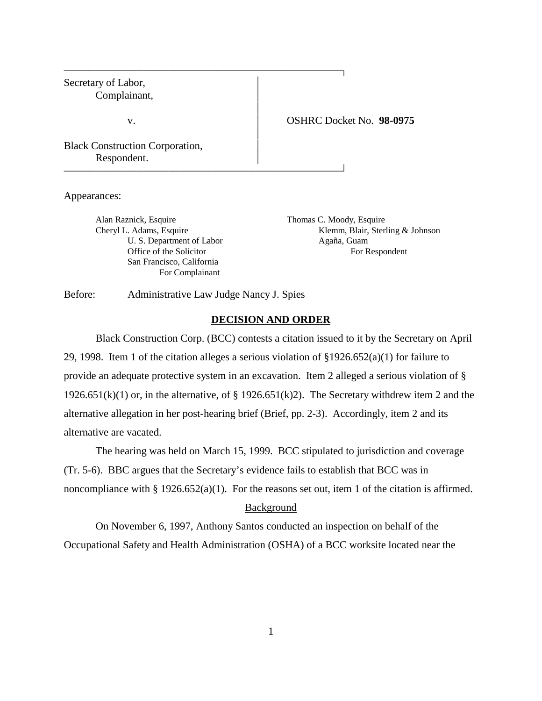# Secretary of Labor, Complainant,  $\overline{1}$ v. OSHRC Docket No. **98-0975**  $\overline{1}$ Black Construction Corporation, Respondent.

Appearances:

Alan Raznick, Esquire Thomas C. Moody, Esquire U. S. Department of Labor Agaña, Guam San Francisco, California For Complainant

Cheryl L. Adams, Esquire Klemm, Blair, Sterling & Johnson Office of the Solicitor For Respondent

Before: Administrative Law Judge Nancy J. Spies

## **DECISION AND ORDER**

Black Construction Corp. (BCC) contests a citation issued to it by the Secretary on April 29, 1998. Item 1 of the citation alleges a serious violation of §1926.652(a)(1) for failure to provide an adequate protective system in an excavation. Item 2 alleged a serious violation of § 1926.651(k)(1) or, in the alternative, of § 1926.651(k)2). The Secretary withdrew item 2 and the alternative allegation in her post-hearing brief (Brief, pp. 2-3). Accordingly, item 2 and its alternative are vacated.

The hearing was held on March 15, 1999. BCC stipulated to jurisdiction and coverage (Tr. 5-6). BBC argues that the Secretary's evidence fails to establish that BCC was in noncompliance with § 1926.652(a)(1). For the reasons set out, item 1 of the citation is affirmed.

## **Background**

On November 6, 1997, Anthony Santos conducted an inspection on behalf of the Occupational Safety and Health Administration (OSHA) of a BCC worksite located near the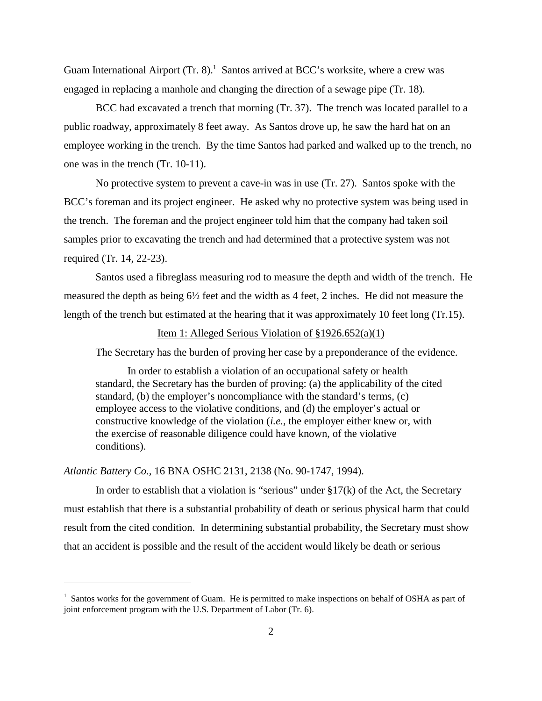Guam International Airport (Tr. 8).<sup>1</sup> Santos arrived at BCC's worksite, where a crew was engaged in replacing a manhole and changing the direction of a sewage pipe (Tr. 18).

BCC had excavated a trench that morning (Tr. 37). The trench was located parallel to a public roadway, approximately 8 feet away. As Santos drove up, he saw the hard hat on an employee working in the trench. By the time Santos had parked and walked up to the trench, no one was in the trench (Tr. 10-11).

No protective system to prevent a cave-in was in use (Tr. 27). Santos spoke with the BCC's foreman and its project engineer. He asked why no protective system was being used in the trench. The foreman and the project engineer told him that the company had taken soil samples prior to excavating the trench and had determined that a protective system was not required (Tr. 14, 22-23).

Santos used a fibreglass measuring rod to measure the depth and width of the trench. He measured the depth as being 6½ feet and the width as 4 feet, 2 inches. He did not measure the length of the trench but estimated at the hearing that it was approximately 10 feet long (Tr.15).

## Item 1: Alleged Serious Violation of §1926.652(a)(1)

The Secretary has the burden of proving her case by a preponderance of the evidence.

In order to establish a violation of an occupational safety or health standard, the Secretary has the burden of proving: (a) the applicability of the cited standard, (b) the employer's noncompliance with the standard's terms, (c) employee access to the violative conditions, and (d) the employer's actual or constructive knowledge of the violation (*i.e.,* the employer either knew or, with the exercise of reasonable diligence could have known, of the violative conditions).

### *Atlantic Battery Co.,* 16 BNA OSHC 2131, 2138 (No. 90-1747, 1994).

In order to establish that a violation is "serious" under  $\S17(k)$  of the Act, the Secretary must establish that there is a substantial probability of death or serious physical harm that could result from the cited condition. In determining substantial probability, the Secretary must show that an accident is possible and the result of the accident would likely be death or serious

<sup>&</sup>lt;sup>1</sup> Santos works for the government of Guam. He is permitted to make inspections on behalf of OSHA as part of joint enforcement program with the U.S. Department of Labor (Tr. 6).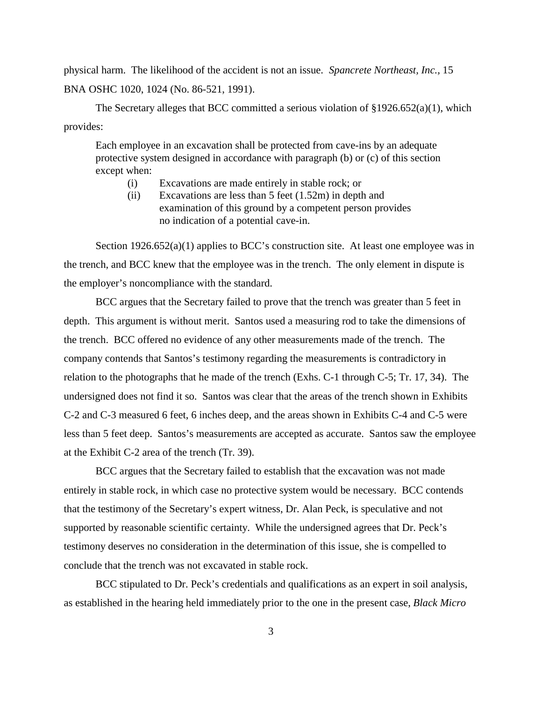physical harm. The likelihood of the accident is not an issue. *Spancrete Northeast, Inc.,* 15 BNA OSHC 1020, 1024 (No. 86-521, 1991).

The Secretary alleges that BCC committed a serious violation of  $\S 1926.652(a)(1)$ , which provides:

Each employee in an excavation shall be protected from cave-ins by an adequate protective system designed in accordance with paragraph (b) or (c) of this section except when:

- (i) Excavations are made entirely in stable rock; or
- (ii) Excavations are less than 5 feet (1.52m) in depth and examination of this ground by a competent person provides no indication of a potential cave-in.

Section 1926.652(a)(1) applies to BCC's construction site. At least one employee was in the trench, and BCC knew that the employee was in the trench. The only element in dispute is the employer's noncompliance with the standard.

BCC argues that the Secretary failed to prove that the trench was greater than 5 feet in depth. This argument is without merit. Santos used a measuring rod to take the dimensions of the trench. BCC offered no evidence of any other measurements made of the trench. The company contends that Santos's testimony regarding the measurements is contradictory in relation to the photographs that he made of the trench (Exhs. C-1 through C-5; Tr. 17, 34). The undersigned does not find it so. Santos was clear that the areas of the trench shown in Exhibits C-2 and C-3 measured 6 feet, 6 inches deep, and the areas shown in Exhibits C-4 and C-5 were less than 5 feet deep. Santos's measurements are accepted as accurate. Santos saw the employee at the Exhibit C-2 area of the trench (Tr. 39).

BCC argues that the Secretary failed to establish that the excavation was not made entirely in stable rock, in which case no protective system would be necessary. BCC contends that the testimony of the Secretary's expert witness, Dr. Alan Peck, is speculative and not supported by reasonable scientific certainty. While the undersigned agrees that Dr. Peck's testimony deserves no consideration in the determination of this issue, she is compelled to conclude that the trench was not excavated in stable rock.

BCC stipulated to Dr. Peck's credentials and qualifications as an expert in soil analysis, as established in the hearing held immediately prior to the one in the present case, *Black Micro*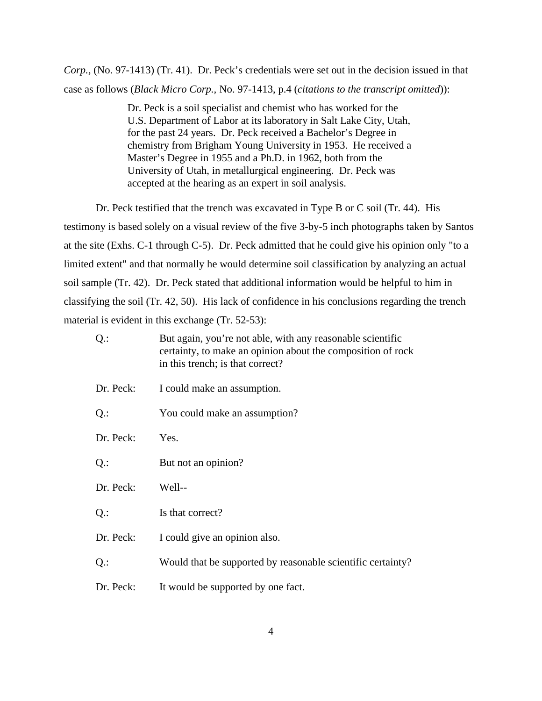*Corp.,* (No. 97-1413) (Tr. 41). Dr. Peck's credentials were set out in the decision issued in that case as follows (*Black Micro Corp.,* No. 97-1413, p.4 (*citations to the transcript omitted*)):

> Dr. Peck is a soil specialist and chemist who has worked for the U.S. Department of Labor at its laboratory in Salt Lake City, Utah, for the past 24 years. Dr. Peck received a Bachelor's Degree in chemistry from Brigham Young University in 1953. He received a Master's Degree in 1955 and a Ph.D. in 1962, both from the University of Utah, in metallurgical engineering. Dr. Peck was accepted at the hearing as an expert in soil analysis.

Dr. Peck testified that the trench was excavated in Type B or C soil (Tr. 44). His testimony is based solely on a visual review of the five 3-by-5 inch photographs taken by Santos at the site (Exhs. C-1 through C-5). Dr. Peck admitted that he could give his opinion only "to a limited extent" and that normally he would determine soil classification by analyzing an actual soil sample (Tr. 42). Dr. Peck stated that additional information would be helpful to him in classifying the soil (Tr. 42, 50). His lack of confidence in his conclusions regarding the trench material is evident in this exchange (Tr. 52-53):

| $Q$ .:    | But again, you're not able, with any reasonable scientific<br>certainty, to make an opinion about the composition of rock<br>in this trench; is that correct? |
|-----------|---------------------------------------------------------------------------------------------------------------------------------------------------------------|
| Dr. Peck: | I could make an assumption.                                                                                                                                   |
| $Q$ .:    | You could make an assumption?                                                                                                                                 |
| Dr. Peck: | Yes.                                                                                                                                                          |
| $Q$ .:    | But not an opinion?                                                                                                                                           |
| Dr. Peck: | Well--                                                                                                                                                        |
| $Q$ .:    | Is that correct?                                                                                                                                              |
| Dr. Peck: | I could give an opinion also.                                                                                                                                 |
| $Q$ .:    | Would that be supported by reasonable scientific certainty?                                                                                                   |
| Dr. Peck: | It would be supported by one fact.                                                                                                                            |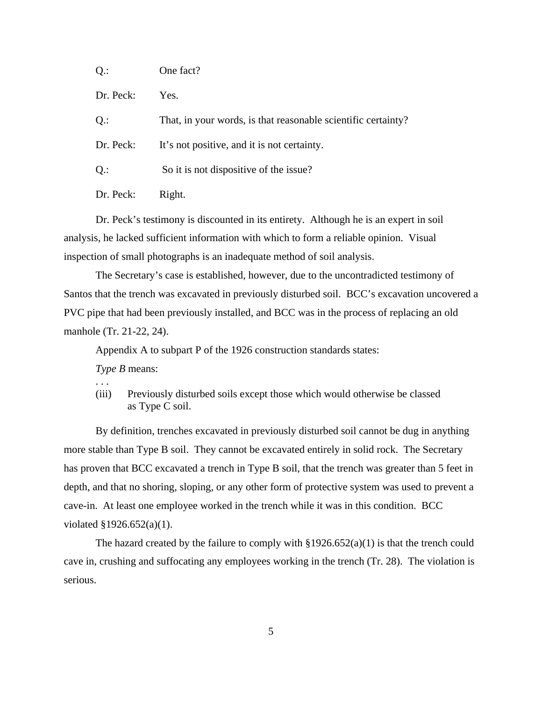| $Q$ .:    | One fact?                                                     |
|-----------|---------------------------------------------------------------|
| Dr. Peck: | Yes.                                                          |
| $Q$ .:    | That, in your words, is that reasonable scientific certainty? |
| Dr. Peck: | It's not positive, and it is not certainty.                   |
| $Q$ .:    | So it is not dispositive of the issue?                        |
| Dr. Peck: | Right.                                                        |

Dr. Peck's testimony is discounted in its entirety. Although he is an expert in soil analysis, he lacked sufficient information with which to form a reliable opinion. Visual inspection of small photographs is an inadequate method of soil analysis.

The Secretary's case is established, however, due to the uncontradicted testimony of Santos that the trench was excavated in previously disturbed soil. BCC's excavation uncovered a PVC pipe that had been previously installed, and BCC was in the process of replacing an old manhole (Tr. 21-22, 24).

Appendix A to subpart P of the 1926 construction standards states:

*Type B* means:

. . .

(iii) Previously disturbed soils except those which would otherwise be classed as Type C soil.

By definition, trenches excavated in previously disturbed soil cannot be dug in anything more stable than Type B soil. They cannot be excavated entirely in solid rock. The Secretary has proven that BCC excavated a trench in Type B soil, that the trench was greater than 5 feet in depth, and that no shoring, sloping, or any other form of protective system was used to prevent a cave-in. At least one employee worked in the trench while it was in this condition. BCC violated §1926.652(a)(1).

The hazard created by the failure to comply with  $\S 1926.652(a)(1)$  is that the trench could cave in, crushing and suffocating any employees working in the trench (Tr. 28). The violation is serious.

5